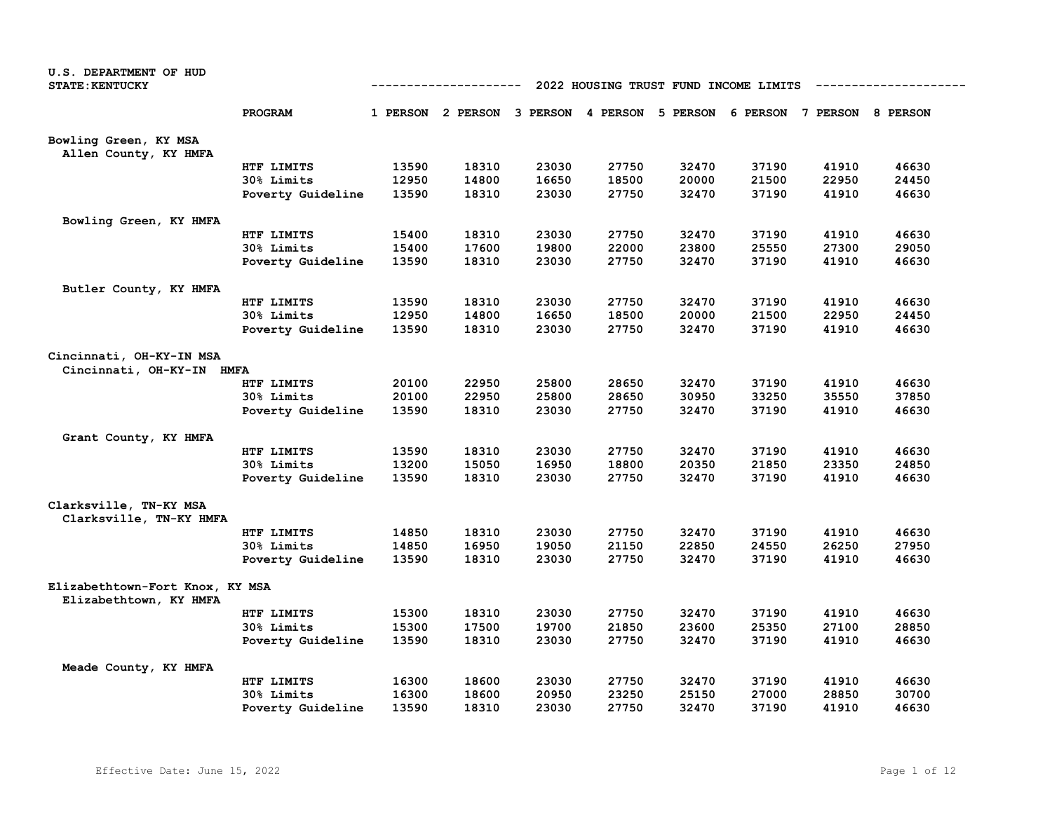| U.S. DEPARTMENT OF HUD<br><b>STATE: KENTUCKY</b>          | 2022 HOUSING TRUST FUND INCOME LIMITS<br>---------- |       |                                                                         |       |       |       |       |       |       |
|-----------------------------------------------------------|-----------------------------------------------------|-------|-------------------------------------------------------------------------|-------|-------|-------|-------|-------|-------|
|                                                           | PROGRAM                                             |       | 1 PERSON 2 PERSON 3 PERSON 4 PERSON 5 PERSON 6 PERSON 7 PERSON 8 PERSON |       |       |       |       |       |       |
| Bowling Green, KY MSA<br>Allen County, KY HMFA            |                                                     |       |                                                                         |       |       |       |       |       |       |
|                                                           | HTF LIMITS                                          | 13590 | 18310                                                                   | 23030 | 27750 | 32470 | 37190 | 41910 | 46630 |
|                                                           | 30% Limits                                          | 12950 | 14800                                                                   | 16650 | 18500 | 20000 | 21500 | 22950 | 24450 |
|                                                           | Poverty Guideline                                   | 13590 | 18310                                                                   | 23030 | 27750 | 32470 | 37190 | 41910 | 46630 |
| Bowling Green, KY HMFA                                    |                                                     |       |                                                                         |       |       |       |       |       |       |
|                                                           | HTF LIMITS                                          | 15400 | 18310                                                                   | 23030 | 27750 | 32470 | 37190 | 41910 | 46630 |
|                                                           | 30% Limits                                          | 15400 | 17600                                                                   | 19800 | 22000 | 23800 | 25550 | 27300 | 29050 |
|                                                           | Poverty Guideline                                   | 13590 | 18310                                                                   | 23030 | 27750 | 32470 | 37190 | 41910 | 46630 |
| Butler County, KY HMFA                                    |                                                     |       |                                                                         |       |       |       |       |       |       |
|                                                           | HTF LIMITS                                          | 13590 | 18310                                                                   | 23030 | 27750 | 32470 | 37190 | 41910 | 46630 |
|                                                           | 30% Limits                                          | 12950 | 14800                                                                   | 16650 | 18500 | 20000 | 21500 | 22950 | 24450 |
|                                                           | Poverty Guideline                                   | 13590 | 18310                                                                   | 23030 | 27750 | 32470 | 37190 | 41910 | 46630 |
| Cincinnati, OH-KY-IN MSA<br>Cincinnati, OH-KY-IN HMFA     |                                                     |       |                                                                         |       |       |       |       |       |       |
|                                                           | HTF LIMITS                                          | 20100 | 22950                                                                   | 25800 | 28650 | 32470 | 37190 | 41910 | 46630 |
|                                                           | 30% Limits                                          | 20100 | 22950                                                                   | 25800 | 28650 | 30950 | 33250 | 35550 | 37850 |
|                                                           | Poverty Guideline                                   | 13590 | 18310                                                                   | 23030 | 27750 | 32470 | 37190 | 41910 | 46630 |
| Grant County, KY HMFA                                     |                                                     |       |                                                                         |       |       |       |       |       |       |
|                                                           | HTF LIMITS                                          | 13590 | 18310                                                                   | 23030 | 27750 | 32470 | 37190 | 41910 | 46630 |
|                                                           | 30% Limits                                          | 13200 | 15050                                                                   | 16950 | 18800 | 20350 | 21850 | 23350 | 24850 |
|                                                           | Poverty Guideline                                   | 13590 | 18310                                                                   | 23030 | 27750 | 32470 | 37190 | 41910 | 46630 |
| Clarksville, TN-KY MSA<br>Clarksville, TN-KY HMFA         |                                                     |       |                                                                         |       |       |       |       |       |       |
|                                                           | HTF LIMITS                                          | 14850 | 18310                                                                   | 23030 | 27750 | 32470 | 37190 | 41910 | 46630 |
|                                                           | 30% Limits                                          | 14850 | 16950                                                                   | 19050 | 21150 | 22850 | 24550 | 26250 | 27950 |
|                                                           | Poverty Guideline                                   | 13590 | 18310                                                                   | 23030 | 27750 | 32470 | 37190 | 41910 | 46630 |
| Elizabethtown-Fort Knox, KY MSA<br>Elizabethtown, KY HMFA |                                                     |       |                                                                         |       |       |       |       |       |       |
|                                                           | HTF LIMITS                                          | 15300 | 18310                                                                   | 23030 | 27750 | 32470 | 37190 | 41910 | 46630 |
|                                                           | 30% Limits                                          | 15300 | 17500                                                                   | 19700 | 21850 | 23600 | 25350 | 27100 | 28850 |
|                                                           | Poverty Guideline                                   | 13590 | 18310                                                                   | 23030 | 27750 | 32470 | 37190 | 41910 | 46630 |
| Meade County, KY HMFA                                     |                                                     |       |                                                                         |       |       |       |       |       |       |
|                                                           | HTF LIMITS                                          | 16300 | 18600                                                                   | 23030 | 27750 | 32470 | 37190 | 41910 | 46630 |
|                                                           | 30% Limits                                          | 16300 | 18600                                                                   | 20950 | 23250 | 25150 | 27000 | 28850 | 30700 |
|                                                           | Poverty Guideline                                   | 13590 | 18310                                                                   | 23030 | 27750 | 32470 | 37190 | 41910 | 46630 |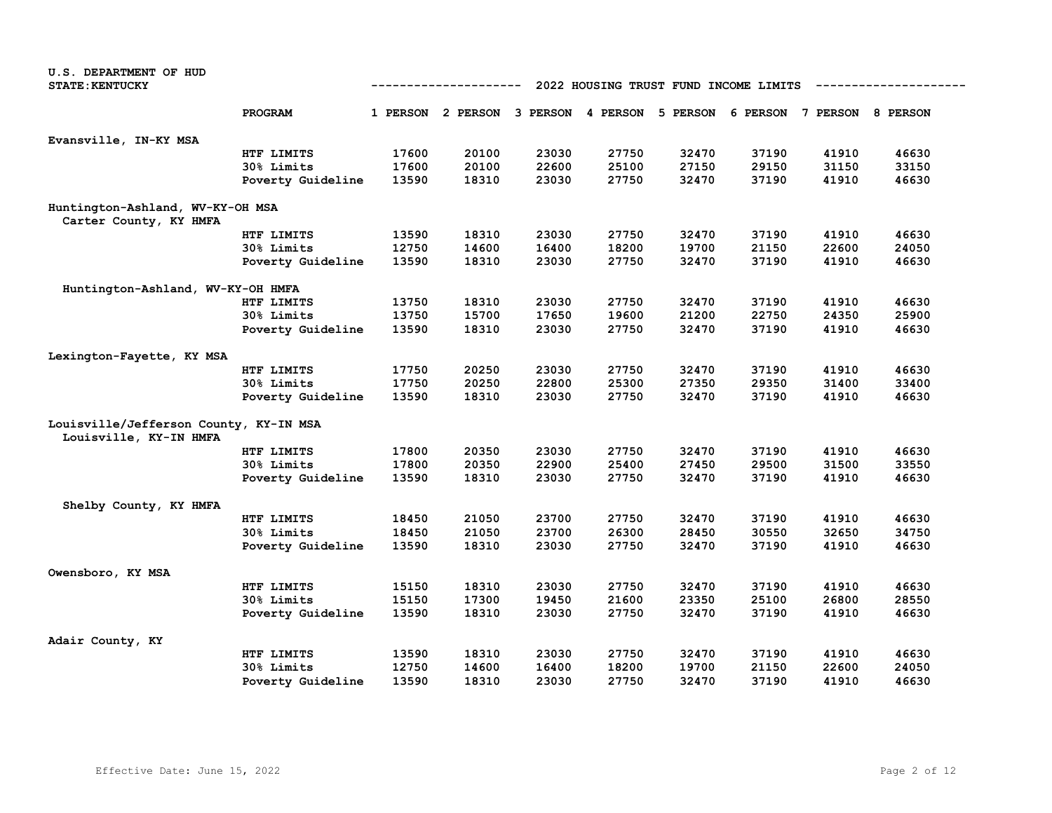| U.S. DEPARTMENT OF HUD                 |                                                      |                |                |                |                |                |                                                                         |                |                |  |
|----------------------------------------|------------------------------------------------------|----------------|----------------|----------------|----------------|----------------|-------------------------------------------------------------------------|----------------|----------------|--|
| <b>STATE: KENTUCKY</b>                 | 2022 HOUSING TRUST FUND INCOME LIMITS<br>----------- |                |                |                |                |                |                                                                         |                |                |  |
|                                        |                                                      |                |                |                |                |                |                                                                         |                |                |  |
|                                        | PROGRAM                                              |                |                |                |                |                | 1 PERSON 2 PERSON 3 PERSON 4 PERSON 5 PERSON 6 PERSON 7 PERSON 8 PERSON |                |                |  |
| Evansville, IN-KY MSA                  |                                                      |                |                |                |                |                |                                                                         |                |                |  |
|                                        | HTF LIMITS                                           | 17600          | 20100          | 23030          | 27750          | 32470          | 37190                                                                   | 41910          | 46630          |  |
|                                        | 30% Limits                                           | 17600          | 20100          | 22600          | 25100          | 27150          | 29150                                                                   | 31150          | 33150          |  |
|                                        | Poverty Guideline                                    | 13590          | 18310          | 23030          | 27750          | 32470          | 37190                                                                   | 41910          | 46630          |  |
| Huntington-Ashland, WV-KY-OH MSA       |                                                      |                |                |                |                |                |                                                                         |                |                |  |
| Carter County, KY HMFA                 |                                                      |                |                |                |                |                |                                                                         |                |                |  |
|                                        | HTF LIMITS                                           | 13590<br>12750 | 18310<br>14600 | 23030          | 27750          | 32470          | 37190<br>21150                                                          | 41910<br>22600 | 46630          |  |
|                                        | 30% Limits                                           | 13590          | 18310          | 16400<br>23030 | 18200<br>27750 | 19700<br>32470 | 37190                                                                   | 41910          | 24050<br>46630 |  |
|                                        | Poverty Guideline                                    |                |                |                |                |                |                                                                         |                |                |  |
| Huntington-Ashland, WV-KY-OH HMFA      |                                                      |                |                |                |                |                |                                                                         |                |                |  |
|                                        | HTF LIMITS                                           | 13750          | 18310          | 23030          | 27750          | 32470          | 37190                                                                   | 41910          | 46630          |  |
|                                        | <b>30% Limits</b>                                    | 13750          | 15700          | 17650          | 19600          | 21200          | 22750                                                                   | 24350          | 25900          |  |
|                                        | Poverty Guideline                                    | 13590          | 18310          | 23030          | 27750          | 32470          | 37190                                                                   | 41910          | 46630          |  |
| Lexington-Fayette, KY MSA              |                                                      |                |                |                |                |                |                                                                         |                |                |  |
|                                        | HTF LIMITS                                           | 17750          | 20250          | 23030          | 27750          | 32470          | 37190                                                                   | 41910          | 46630          |  |
|                                        | 30% Limits                                           | 17750          | 20250          | 22800          | 25300          | 27350          | 29350                                                                   | 31400          | 33400          |  |
|                                        | Poverty Guideline                                    | 13590          | 18310          | 23030          | 27750          | 32470          | 37190                                                                   | 41910          | 46630          |  |
| Louisville/Jefferson County, KY-IN MSA |                                                      |                |                |                |                |                |                                                                         |                |                |  |
| Louisville, KY-IN HMFA                 |                                                      |                |                |                |                |                |                                                                         |                |                |  |
|                                        | HTF LIMITS                                           | 17800          | 20350          | 23030          | 27750          | 32470          | 37190                                                                   | 41910          | 46630          |  |
|                                        | 30% Limits                                           | 17800          | 20350          | 22900          | 25400          | 27450          | 29500                                                                   | 31500          | 33550          |  |
|                                        | Poverty Guideline                                    | 13590          | 18310          | 23030          | 27750          | 32470          | 37190                                                                   | 41910          | 46630          |  |
| Shelby County, KY HMFA                 |                                                      |                |                |                |                |                |                                                                         |                |                |  |
|                                        | HTF LIMITS                                           | 18450          | 21050          | 23700          | 27750          | 32470          | 37190                                                                   | 41910          | 46630          |  |
|                                        | 30% Limits                                           | 18450          | 21050          | 23700          | 26300          | 28450          | 30550                                                                   | 32650          | 34750          |  |
|                                        | Poverty Guideline                                    | 13590          | 18310          | 23030          | 27750          | 32470          | 37190                                                                   | 41910          | 46630          |  |
|                                        |                                                      |                |                |                |                |                |                                                                         |                |                |  |
| Owensboro, KY MSA                      |                                                      | 15150          | 18310          | 23030          | 27750          |                |                                                                         | 41910          | 46630          |  |
|                                        | HTF LIMITS<br>30% Limits                             | 15150          | 17300          | 19450          | 21600          | 32470<br>23350 | 37190<br>25100                                                          | 26800          | 28550          |  |
|                                        |                                                      | 13590          | 18310          | 23030          | 27750          | 32470          | 37190                                                                   | 41910          | 46630          |  |
|                                        | Poverty Guideline                                    |                |                |                |                |                |                                                                         |                |                |  |
| Adair County, KY                       |                                                      |                |                |                |                |                |                                                                         |                |                |  |
|                                        | HTF LIMITS                                           | 13590          | 18310          | 23030          | 27750          | 32470          | 37190                                                                   | 41910          | 46630          |  |
|                                        | <b>30% Limits</b>                                    | 12750          | 14600          | 16400          | 18200          | 19700          | 21150                                                                   | 22600          | 24050          |  |
|                                        | Poverty Guideline                                    | 13590          | 18310          | 23030          | 27750          | 32470          | 37190                                                                   | 41910          | 46630          |  |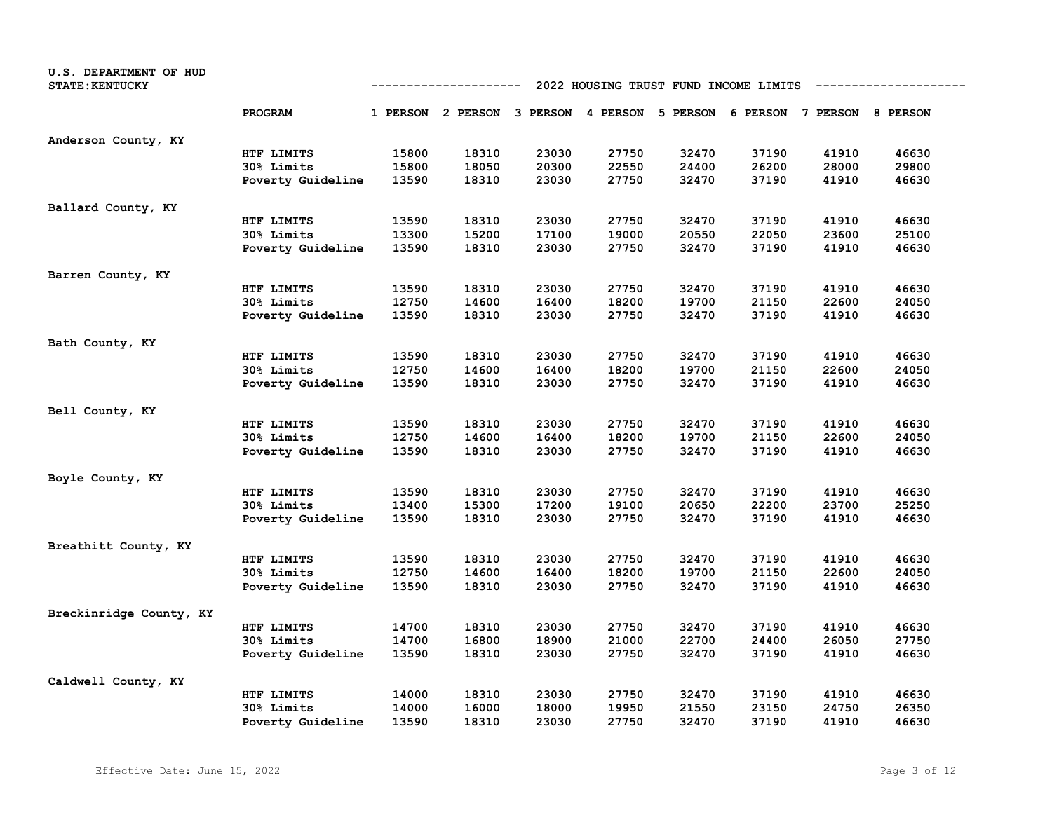| U.S. DEPARTMENT OF HUD<br><b>STATE: KENTUCKY</b> |                   |       | ----------                                                              |       |       |       | 2022 HOUSING TRUST FUND INCOME LIMITS |       |       |
|--------------------------------------------------|-------------------|-------|-------------------------------------------------------------------------|-------|-------|-------|---------------------------------------|-------|-------|
|                                                  | PROGRAM           |       | 1 PERSON 2 PERSON 3 PERSON 4 PERSON 5 PERSON 6 PERSON 7 PERSON 8 PERSON |       |       |       |                                       |       |       |
| Anderson County, KY                              |                   |       |                                                                         |       |       |       |                                       |       |       |
|                                                  | HTF LIMITS        | 15800 | 18310                                                                   | 23030 | 27750 | 32470 | 37190                                 | 41910 | 46630 |
|                                                  | 30% Limits        | 15800 | 18050                                                                   | 20300 | 22550 | 24400 | 26200                                 | 28000 | 29800 |
|                                                  | Poverty Guideline | 13590 | 18310                                                                   | 23030 | 27750 | 32470 | 37190                                 | 41910 | 46630 |
| Ballard County, KY                               |                   |       |                                                                         |       |       |       |                                       |       |       |
|                                                  | HTF LIMITS        | 13590 | 18310                                                                   | 23030 | 27750 | 32470 | 37190                                 | 41910 | 46630 |
|                                                  | 30% Limits        | 13300 | 15200                                                                   | 17100 | 19000 | 20550 | 22050                                 | 23600 | 25100 |
|                                                  | Poverty Guideline | 13590 | 18310                                                                   | 23030 | 27750 | 32470 | 37190                                 | 41910 | 46630 |
| Barren County, KY                                |                   |       |                                                                         |       |       |       |                                       |       |       |
|                                                  | HTF LIMITS        | 13590 | 18310                                                                   | 23030 | 27750 | 32470 | 37190                                 | 41910 | 46630 |
|                                                  | 30% Limits        | 12750 | 14600                                                                   | 16400 | 18200 | 19700 | 21150                                 | 22600 | 24050 |
|                                                  | Poverty Guideline | 13590 | 18310                                                                   | 23030 | 27750 | 32470 | 37190                                 | 41910 | 46630 |
| Bath County, KY                                  |                   |       |                                                                         |       |       |       |                                       |       |       |
|                                                  | HTF LIMITS        | 13590 | 18310                                                                   | 23030 | 27750 | 32470 | 37190                                 | 41910 | 46630 |
|                                                  | 30% Limits        | 12750 | 14600                                                                   | 16400 | 18200 | 19700 | 21150                                 | 22600 | 24050 |
|                                                  | Poverty Guideline | 13590 | 18310                                                                   | 23030 | 27750 | 32470 | 37190                                 | 41910 | 46630 |
| Bell County, KY                                  |                   |       |                                                                         |       |       |       |                                       |       |       |
|                                                  | HTF LIMITS        | 13590 | 18310                                                                   | 23030 | 27750 | 32470 | 37190                                 | 41910 | 46630 |
|                                                  | 30% Limits        | 12750 | 14600                                                                   | 16400 | 18200 | 19700 | 21150                                 | 22600 | 24050 |
|                                                  | Poverty Guideline | 13590 | 18310                                                                   | 23030 | 27750 | 32470 | 37190                                 | 41910 | 46630 |
| Boyle County, KY                                 |                   |       |                                                                         |       |       |       |                                       |       |       |
|                                                  | HTF LIMITS        | 13590 | 18310                                                                   | 23030 | 27750 | 32470 | 37190                                 | 41910 | 46630 |
|                                                  | 30% Limits        | 13400 | 15300                                                                   | 17200 | 19100 | 20650 | 22200                                 | 23700 | 25250 |
|                                                  | Poverty Guideline | 13590 | 18310                                                                   | 23030 | 27750 | 32470 | 37190                                 | 41910 | 46630 |
| Breathitt County, KY                             |                   |       |                                                                         |       |       |       |                                       |       |       |
|                                                  | HTF LIMITS        | 13590 | 18310                                                                   | 23030 | 27750 | 32470 | 37190                                 | 41910 | 46630 |
|                                                  | 30% Limits        | 12750 | 14600                                                                   | 16400 | 18200 | 19700 | 21150                                 | 22600 | 24050 |
|                                                  | Poverty Guideline | 13590 | 18310                                                                   | 23030 | 27750 | 32470 | 37190                                 | 41910 | 46630 |
| Breckinridge County, KY                          |                   |       |                                                                         |       |       |       |                                       |       |       |
|                                                  | HTF LIMITS        | 14700 | 18310                                                                   | 23030 | 27750 | 32470 | 37190                                 | 41910 | 46630 |
|                                                  | 30% Limits        | 14700 | 16800                                                                   | 18900 | 21000 | 22700 | 24400                                 | 26050 | 27750 |
|                                                  | Poverty Guideline | 13590 | 18310                                                                   | 23030 | 27750 | 32470 | 37190                                 | 41910 | 46630 |
| Caldwell County, KY                              |                   |       |                                                                         |       |       |       |                                       |       |       |
|                                                  | HTF LIMITS        | 14000 | 18310                                                                   | 23030 | 27750 | 32470 | 37190                                 | 41910 | 46630 |
|                                                  | 30% Limits        | 14000 | 16000                                                                   | 18000 | 19950 | 21550 | 23150                                 | 24750 | 26350 |
|                                                  | Poverty Guideline | 13590 | 18310                                                                   | 23030 | 27750 | 32470 | 37190                                 | 41910 | 46630 |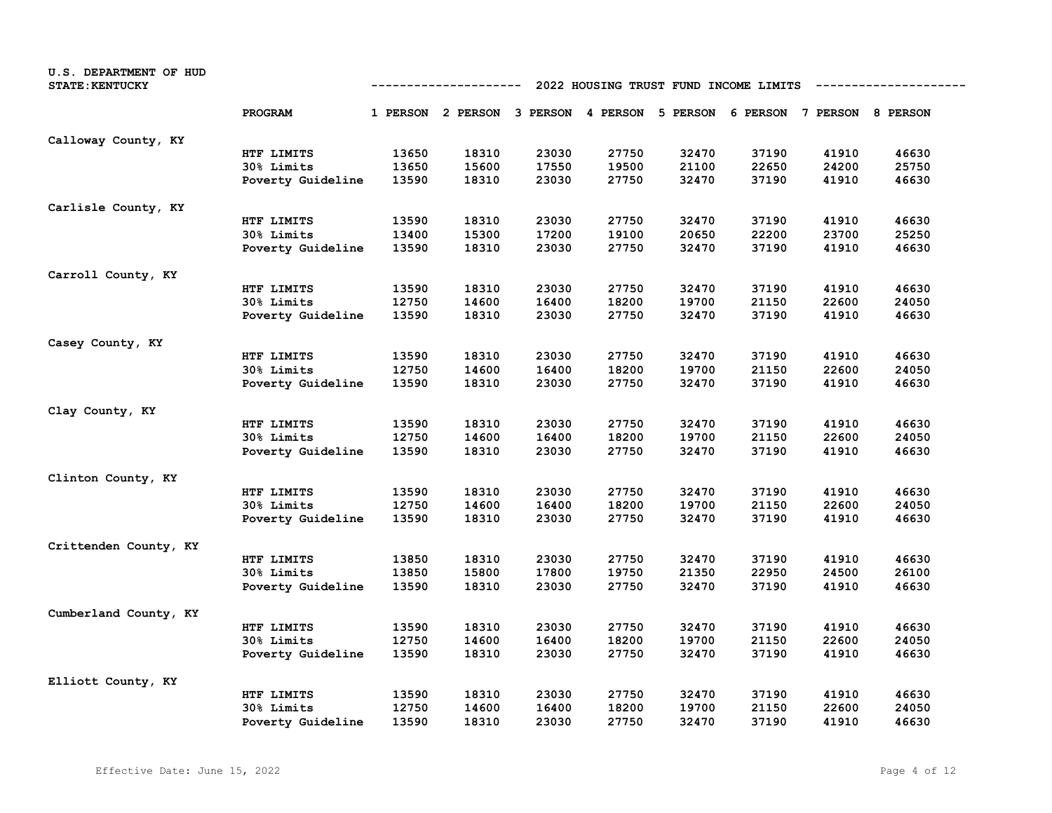| U.S. DEPARTMENT OF HUD<br><b>STATE: KENTUCKY</b> | 2022 HOUSING TRUST FUND INCOME LIMITS<br>---------- |       |                                                                         |       |       |       |       |       |       |
|--------------------------------------------------|-----------------------------------------------------|-------|-------------------------------------------------------------------------|-------|-------|-------|-------|-------|-------|
|                                                  | PROGRAM                                             |       | 1 PERSON 2 PERSON 3 PERSON 4 PERSON 5 PERSON 6 PERSON 7 PERSON 8 PERSON |       |       |       |       |       |       |
| Calloway County, KY                              |                                                     |       |                                                                         |       |       |       |       |       |       |
|                                                  | HTF LIMITS                                          | 13650 | 18310                                                                   | 23030 | 27750 | 32470 | 37190 | 41910 | 46630 |
|                                                  | 30% Limits                                          | 13650 | 15600                                                                   | 17550 | 19500 | 21100 | 22650 | 24200 | 25750 |
|                                                  | Poverty Guideline                                   | 13590 | 18310                                                                   | 23030 | 27750 | 32470 | 37190 | 41910 | 46630 |
| Carlisle County, KY                              |                                                     |       |                                                                         |       |       |       |       |       |       |
|                                                  | HTF LIMITS                                          | 13590 | 18310                                                                   | 23030 | 27750 | 32470 | 37190 | 41910 | 46630 |
|                                                  | 30% Limits                                          | 13400 | 15300                                                                   | 17200 | 19100 | 20650 | 22200 | 23700 | 25250 |
|                                                  | Poverty Guideline                                   | 13590 | 18310                                                                   | 23030 | 27750 | 32470 | 37190 | 41910 | 46630 |
| Carroll County, KY                               |                                                     |       |                                                                         |       |       |       |       |       |       |
|                                                  | HTF LIMITS                                          | 13590 | 18310                                                                   | 23030 | 27750 | 32470 | 37190 | 41910 | 46630 |
|                                                  | 30% Limits                                          | 12750 | 14600                                                                   | 16400 | 18200 | 19700 | 21150 | 22600 | 24050 |
|                                                  | Poverty Guideline                                   | 13590 | 18310                                                                   | 23030 | 27750 | 32470 | 37190 | 41910 | 46630 |
| Casey County, KY                                 |                                                     |       |                                                                         |       |       |       |       |       |       |
|                                                  | HTF LIMITS                                          | 13590 | 18310                                                                   | 23030 | 27750 | 32470 | 37190 | 41910 | 46630 |
|                                                  | 30% Limits                                          | 12750 | 14600                                                                   | 16400 | 18200 | 19700 | 21150 | 22600 | 24050 |
|                                                  | Poverty Guideline                                   | 13590 | 18310                                                                   | 23030 | 27750 | 32470 | 37190 | 41910 | 46630 |
| Clay County, KY                                  |                                                     |       |                                                                         |       |       |       |       |       |       |
|                                                  | HTF LIMITS                                          | 13590 | 18310                                                                   | 23030 | 27750 | 32470 | 37190 | 41910 | 46630 |
|                                                  | 30% Limits                                          | 12750 | 14600                                                                   | 16400 | 18200 | 19700 | 21150 | 22600 | 24050 |
|                                                  | Poverty Guideline                                   | 13590 | 18310                                                                   | 23030 | 27750 | 32470 | 37190 | 41910 | 46630 |
| Clinton County, KY                               |                                                     |       |                                                                         |       |       |       |       |       |       |
|                                                  | HTF LIMITS                                          | 13590 | 18310                                                                   | 23030 | 27750 | 32470 | 37190 | 41910 | 46630 |
|                                                  | 30% Limits                                          | 12750 | 14600                                                                   | 16400 | 18200 | 19700 | 21150 | 22600 | 24050 |
|                                                  | Poverty Guideline                                   | 13590 | 18310                                                                   | 23030 | 27750 | 32470 | 37190 | 41910 | 46630 |
| Crittenden County, KY                            |                                                     |       |                                                                         |       |       |       |       |       |       |
|                                                  | HTF LIMITS                                          | 13850 | 18310                                                                   | 23030 | 27750 | 32470 | 37190 | 41910 | 46630 |
|                                                  | 30% Limits                                          | 13850 | 15800                                                                   | 17800 | 19750 | 21350 | 22950 | 24500 | 26100 |
|                                                  | Poverty Guideline                                   | 13590 | 18310                                                                   | 23030 | 27750 | 32470 | 37190 | 41910 | 46630 |
| Cumberland County, KY                            |                                                     |       |                                                                         |       |       |       |       |       |       |
|                                                  | HTF LIMITS                                          | 13590 | 18310                                                                   | 23030 | 27750 | 32470 | 37190 | 41910 | 46630 |
|                                                  | 30% Limits                                          | 12750 | 14600                                                                   | 16400 | 18200 | 19700 | 21150 | 22600 | 24050 |
|                                                  | Poverty Guideline                                   | 13590 | 18310                                                                   | 23030 | 27750 | 32470 | 37190 | 41910 | 46630 |
| Elliott County, KY                               |                                                     |       |                                                                         |       |       |       |       |       |       |
|                                                  | HTF LIMITS                                          | 13590 | 18310                                                                   | 23030 | 27750 | 32470 | 37190 | 41910 | 46630 |
|                                                  | 30% Limits                                          | 12750 | 14600                                                                   | 16400 | 18200 | 19700 | 21150 | 22600 | 24050 |
|                                                  | Poverty Guideline                                   | 13590 | 18310                                                                   | 23030 | 27750 | 32470 | 37190 | 41910 | 46630 |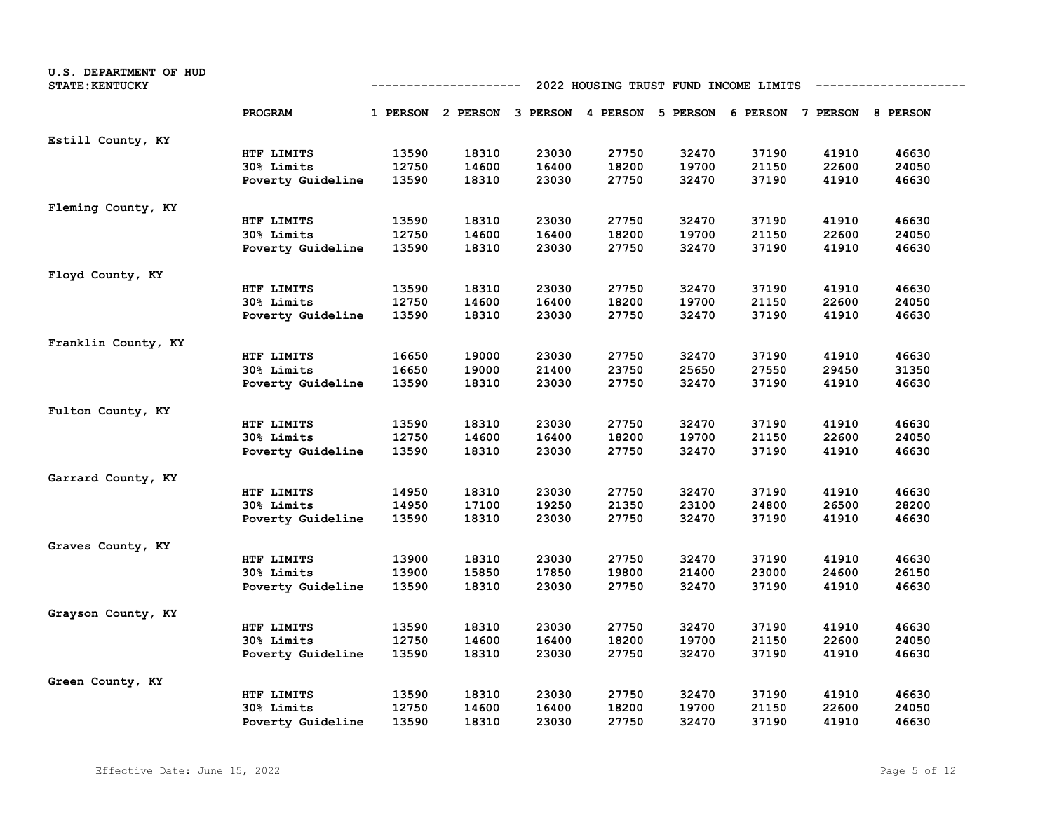| U.S. DEPARTMENT OF HUD<br><b>STATE: KENTUCKY</b> |                   |       | ----------                                                              |       |       |       | 2022 HOUSING TRUST FUND INCOME LIMITS |       |       |
|--------------------------------------------------|-------------------|-------|-------------------------------------------------------------------------|-------|-------|-------|---------------------------------------|-------|-------|
|                                                  | PROGRAM           |       | 1 PERSON 2 PERSON 3 PERSON 4 PERSON 5 PERSON 6 PERSON 7 PERSON 8 PERSON |       |       |       |                                       |       |       |
| Estill County, KY                                |                   |       |                                                                         |       |       |       |                                       |       |       |
|                                                  | HTF LIMITS        | 13590 | 18310                                                                   | 23030 | 27750 | 32470 | 37190                                 | 41910 | 46630 |
|                                                  | 30% Limits        | 12750 | 14600                                                                   | 16400 | 18200 | 19700 | 21150                                 | 22600 | 24050 |
|                                                  | Poverty Guideline | 13590 | 18310                                                                   | 23030 | 27750 | 32470 | 37190                                 | 41910 | 46630 |
| Fleming County, KY                               |                   |       |                                                                         |       |       |       |                                       |       |       |
|                                                  | HTF LIMITS        | 13590 | 18310                                                                   | 23030 | 27750 | 32470 | 37190                                 | 41910 | 46630 |
|                                                  | 30% Limits        | 12750 | 14600                                                                   | 16400 | 18200 | 19700 | 21150                                 | 22600 | 24050 |
|                                                  | Poverty Guideline | 13590 | 18310                                                                   | 23030 | 27750 | 32470 | 37190                                 | 41910 | 46630 |
| Floyd County, KY                                 |                   |       |                                                                         |       |       |       |                                       |       |       |
|                                                  | HTF LIMITS        | 13590 | 18310                                                                   | 23030 | 27750 | 32470 | 37190                                 | 41910 | 46630 |
|                                                  | 30% Limits        | 12750 | 14600                                                                   | 16400 | 18200 | 19700 | 21150                                 | 22600 | 24050 |
|                                                  | Poverty Guideline | 13590 | 18310                                                                   | 23030 | 27750 | 32470 | 37190                                 | 41910 | 46630 |
| Franklin County, KY                              |                   |       |                                                                         |       |       |       |                                       |       |       |
|                                                  | HTF LIMITS        | 16650 | 19000                                                                   | 23030 | 27750 | 32470 | 37190                                 | 41910 | 46630 |
|                                                  | 30% Limits        | 16650 | 19000                                                                   | 21400 | 23750 | 25650 | 27550                                 | 29450 | 31350 |
|                                                  | Poverty Guideline | 13590 | 18310                                                                   | 23030 | 27750 | 32470 | 37190                                 | 41910 | 46630 |
| Fulton County, KY                                |                   |       |                                                                         |       |       |       |                                       |       |       |
|                                                  | HTF LIMITS        | 13590 | 18310                                                                   | 23030 | 27750 | 32470 | 37190                                 | 41910 | 46630 |
|                                                  | 30% Limits        | 12750 | 14600                                                                   | 16400 | 18200 | 19700 | 21150                                 | 22600 | 24050 |
|                                                  | Poverty Guideline | 13590 | 18310                                                                   | 23030 | 27750 | 32470 | 37190                                 | 41910 | 46630 |
| Garrard County, KY                               |                   |       |                                                                         |       |       |       |                                       |       |       |
|                                                  | HTF LIMITS        | 14950 | 18310                                                                   | 23030 | 27750 | 32470 | 37190                                 | 41910 | 46630 |
|                                                  | 30% Limits        | 14950 | 17100                                                                   | 19250 | 21350 | 23100 | 24800                                 | 26500 | 28200 |
|                                                  | Poverty Guideline | 13590 | 18310                                                                   | 23030 | 27750 | 32470 | 37190                                 | 41910 | 46630 |
| Graves County, KY                                |                   |       |                                                                         |       |       |       |                                       |       |       |
|                                                  | HTF LIMITS        | 13900 | 18310                                                                   | 23030 | 27750 | 32470 | 37190                                 | 41910 | 46630 |
|                                                  | 30% Limits        | 13900 | 15850                                                                   | 17850 | 19800 | 21400 | 23000                                 | 24600 | 26150 |
|                                                  | Poverty Guideline | 13590 | 18310                                                                   | 23030 | 27750 | 32470 | 37190                                 | 41910 | 46630 |
| Grayson County, KY                               |                   |       |                                                                         |       |       |       |                                       |       |       |
|                                                  | HTF LIMITS        | 13590 | 18310                                                                   | 23030 | 27750 | 32470 | 37190                                 | 41910 | 46630 |
|                                                  | 30% Limits        | 12750 | 14600                                                                   | 16400 | 18200 | 19700 | 21150                                 | 22600 | 24050 |
|                                                  | Poverty Guideline | 13590 | 18310                                                                   | 23030 | 27750 | 32470 | 37190                                 | 41910 | 46630 |
| Green County, KY                                 |                   |       |                                                                         |       |       |       |                                       |       |       |
|                                                  | HTF LIMITS        | 13590 | 18310                                                                   | 23030 | 27750 | 32470 | 37190                                 | 41910 | 46630 |
|                                                  | 30% Limits        | 12750 | 14600                                                                   | 16400 | 18200 | 19700 | 21150                                 | 22600 | 24050 |
|                                                  | Poverty Guideline | 13590 | 18310                                                                   | 23030 | 27750 | 32470 | 37190                                 | 41910 | 46630 |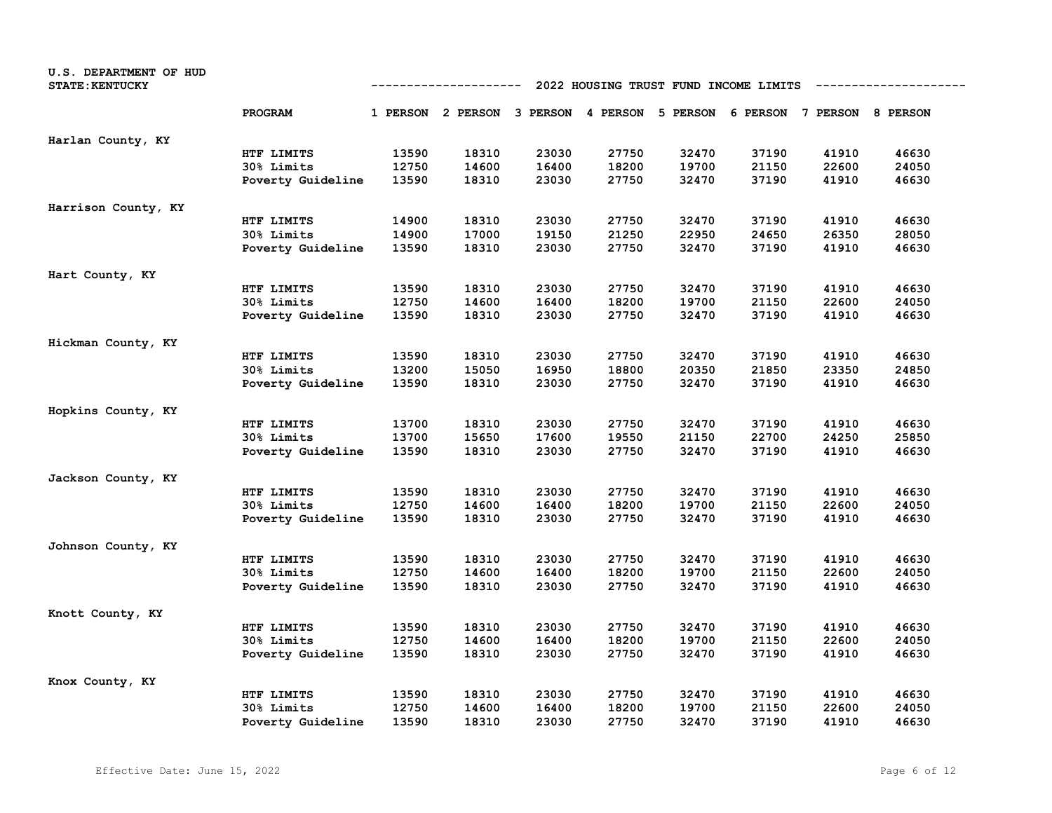| U.S. DEPARTMENT OF HUD<br><b>STATE: KENTUCKY</b> |                   |       | ----------                                                              |       |       |       | 2022 HOUSING TRUST FUND INCOME LIMITS |       |       |
|--------------------------------------------------|-------------------|-------|-------------------------------------------------------------------------|-------|-------|-------|---------------------------------------|-------|-------|
|                                                  | PROGRAM           |       | 1 PERSON 2 PERSON 3 PERSON 4 PERSON 5 PERSON 6 PERSON 7 PERSON 8 PERSON |       |       |       |                                       |       |       |
| Harlan County, KY                                |                   |       |                                                                         |       |       |       |                                       |       |       |
|                                                  | HTF LIMITS        | 13590 | 18310                                                                   | 23030 | 27750 | 32470 | 37190                                 | 41910 | 46630 |
|                                                  | 30% Limits        | 12750 | 14600                                                                   | 16400 | 18200 | 19700 | 21150                                 | 22600 | 24050 |
|                                                  | Poverty Guideline | 13590 | 18310                                                                   | 23030 | 27750 | 32470 | 37190                                 | 41910 | 46630 |
| Harrison County, KY                              |                   |       |                                                                         |       |       |       |                                       |       |       |
|                                                  | HTF LIMITS        | 14900 | 18310                                                                   | 23030 | 27750 | 32470 | 37190                                 | 41910 | 46630 |
|                                                  | 30% Limits        | 14900 | 17000                                                                   | 19150 | 21250 | 22950 | 24650                                 | 26350 | 28050 |
|                                                  | Poverty Guideline | 13590 | 18310                                                                   | 23030 | 27750 | 32470 | 37190                                 | 41910 | 46630 |
| Hart County, KY                                  |                   |       |                                                                         |       |       |       |                                       |       |       |
|                                                  | HTF LIMITS        | 13590 | 18310                                                                   | 23030 | 27750 | 32470 | 37190                                 | 41910 | 46630 |
|                                                  | 30% Limits        | 12750 | 14600                                                                   | 16400 | 18200 | 19700 | 21150                                 | 22600 | 24050 |
|                                                  | Poverty Guideline | 13590 | 18310                                                                   | 23030 | 27750 | 32470 | 37190                                 | 41910 | 46630 |
| Hickman County, KY                               |                   |       |                                                                         |       |       |       |                                       |       |       |
|                                                  | HTF LIMITS        | 13590 | 18310                                                                   | 23030 | 27750 | 32470 | 37190                                 | 41910 | 46630 |
|                                                  | 30% Limits        | 13200 | 15050                                                                   | 16950 | 18800 | 20350 | 21850                                 | 23350 | 24850 |
|                                                  | Poverty Guideline | 13590 | 18310                                                                   | 23030 | 27750 | 32470 | 37190                                 | 41910 | 46630 |
| Hopkins County, KY                               |                   |       |                                                                         |       |       |       |                                       |       |       |
|                                                  | HTF LIMITS        | 13700 | 18310                                                                   | 23030 | 27750 | 32470 | 37190                                 | 41910 | 46630 |
|                                                  | 30% Limits        | 13700 | 15650                                                                   | 17600 | 19550 | 21150 | 22700                                 | 24250 | 25850 |
|                                                  | Poverty Guideline | 13590 | 18310                                                                   | 23030 | 27750 | 32470 | 37190                                 | 41910 | 46630 |
| Jackson County, KY                               |                   |       |                                                                         |       |       |       |                                       |       |       |
|                                                  | HTF LIMITS        | 13590 | 18310                                                                   | 23030 | 27750 | 32470 | 37190                                 | 41910 | 46630 |
|                                                  | 30% Limits        | 12750 | 14600                                                                   | 16400 | 18200 | 19700 | 21150                                 | 22600 | 24050 |
|                                                  | Poverty Guideline | 13590 | 18310                                                                   | 23030 | 27750 | 32470 | 37190                                 | 41910 | 46630 |
| Johnson County, KY                               |                   |       |                                                                         |       |       |       |                                       |       |       |
|                                                  | HTF LIMITS        | 13590 | 18310                                                                   | 23030 | 27750 | 32470 | 37190                                 | 41910 | 46630 |
|                                                  | 30% Limits        | 12750 | 14600                                                                   | 16400 | 18200 | 19700 | 21150                                 | 22600 | 24050 |
|                                                  | Poverty Guideline | 13590 | 18310                                                                   | 23030 | 27750 | 32470 | 37190                                 | 41910 | 46630 |
| Knott County, KY                                 |                   |       |                                                                         |       |       |       |                                       |       |       |
|                                                  | HTF LIMITS        | 13590 | 18310                                                                   | 23030 | 27750 | 32470 | 37190                                 | 41910 | 46630 |
|                                                  | 30% Limits        | 12750 | 14600                                                                   | 16400 | 18200 | 19700 | 21150                                 | 22600 | 24050 |
|                                                  | Poverty Guideline | 13590 | 18310                                                                   | 23030 | 27750 | 32470 | 37190                                 | 41910 | 46630 |
| Knox County, KY                                  |                   |       |                                                                         |       |       |       |                                       |       |       |
|                                                  | HTF LIMITS        | 13590 | 18310                                                                   | 23030 | 27750 | 32470 | 37190                                 | 41910 | 46630 |
|                                                  | 30% Limits        | 12750 | 14600                                                                   | 16400 | 18200 | 19700 | 21150                                 | 22600 | 24050 |
|                                                  | Poverty Guideline | 13590 | 18310                                                                   | 23030 | 27750 | 32470 | 37190                                 | 41910 | 46630 |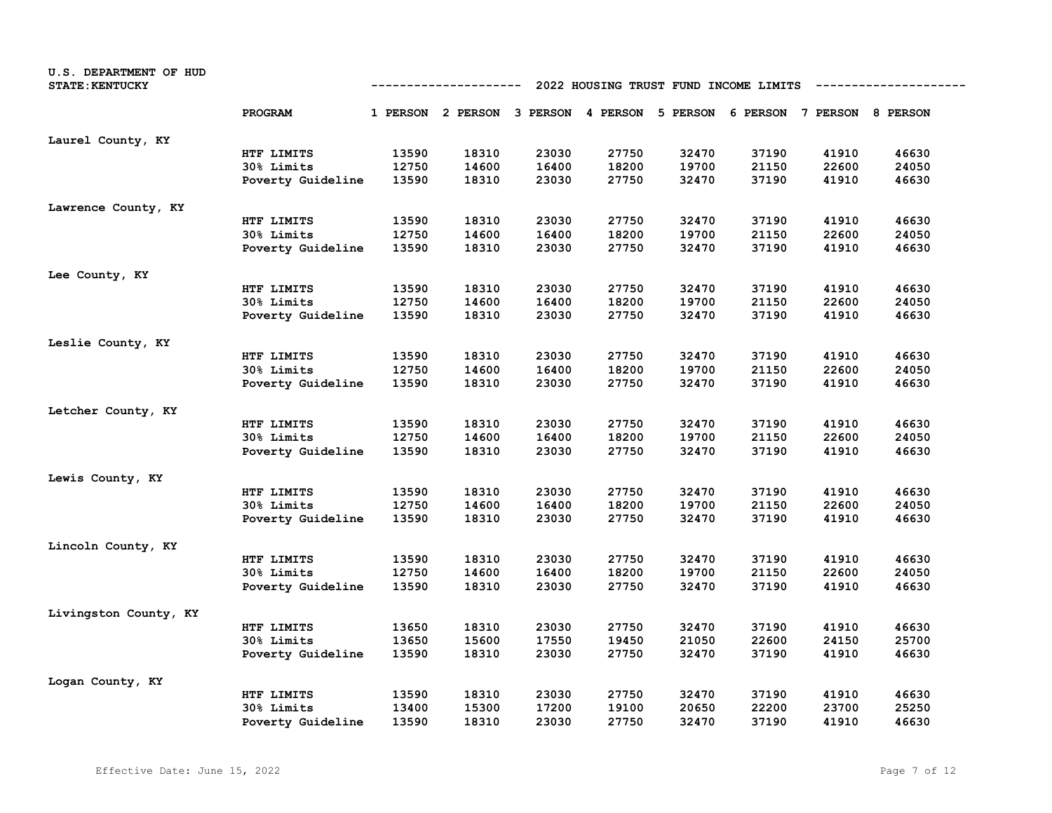| U.S. DEPARTMENT OF HUD<br><b>STATE: KENTUCKY</b> |                   |       | ----------                                                              |       |       | 2022 HOUSING TRUST FUND INCOME LIMITS |       |       |       |
|--------------------------------------------------|-------------------|-------|-------------------------------------------------------------------------|-------|-------|---------------------------------------|-------|-------|-------|
|                                                  | <b>PROGRAM</b>    |       | 1 PERSON 2 PERSON 3 PERSON 4 PERSON 5 PERSON 6 PERSON 7 PERSON 8 PERSON |       |       |                                       |       |       |       |
| Laurel County, KY                                |                   |       |                                                                         |       |       |                                       |       |       |       |
|                                                  | HTF LIMITS        | 13590 | 18310                                                                   | 23030 | 27750 | 32470                                 | 37190 | 41910 | 46630 |
|                                                  | 30% Limits        | 12750 | 14600                                                                   | 16400 | 18200 | 19700                                 | 21150 | 22600 | 24050 |
|                                                  | Poverty Guideline | 13590 | 18310                                                                   | 23030 | 27750 | 32470                                 | 37190 | 41910 | 46630 |
| Lawrence County, KY                              |                   |       |                                                                         |       |       |                                       |       |       |       |
|                                                  | HTF LIMITS        | 13590 | 18310                                                                   | 23030 | 27750 | 32470                                 | 37190 | 41910 | 46630 |
|                                                  | 30% Limits        | 12750 | 14600                                                                   | 16400 | 18200 | 19700                                 | 21150 | 22600 | 24050 |
|                                                  | Poverty Guideline | 13590 | 18310                                                                   | 23030 | 27750 | 32470                                 | 37190 | 41910 | 46630 |
| Lee County, KY                                   |                   |       |                                                                         |       |       |                                       |       |       |       |
|                                                  | HTF LIMITS        | 13590 | 18310                                                                   | 23030 | 27750 | 32470                                 | 37190 | 41910 | 46630 |
|                                                  | 30% Limits        | 12750 | 14600                                                                   | 16400 | 18200 | 19700                                 | 21150 | 22600 | 24050 |
|                                                  | Poverty Guideline | 13590 | 18310                                                                   | 23030 | 27750 | 32470                                 | 37190 | 41910 | 46630 |
| Leslie County, KY                                |                   |       |                                                                         |       |       |                                       |       |       |       |
|                                                  | HTF LIMITS        | 13590 | 18310                                                                   | 23030 | 27750 | 32470                                 | 37190 | 41910 | 46630 |
|                                                  | 30% Limits        | 12750 | 14600                                                                   | 16400 | 18200 | 19700                                 | 21150 | 22600 | 24050 |
|                                                  | Poverty Guideline | 13590 | 18310                                                                   | 23030 | 27750 | 32470                                 | 37190 | 41910 | 46630 |
| Letcher County, KY                               |                   |       |                                                                         |       |       |                                       |       |       |       |
|                                                  | HTF LIMITS        | 13590 | 18310                                                                   | 23030 | 27750 | 32470                                 | 37190 | 41910 | 46630 |
|                                                  | 30% Limits        | 12750 | 14600                                                                   | 16400 | 18200 | 19700                                 | 21150 | 22600 | 24050 |
|                                                  | Poverty Guideline | 13590 | 18310                                                                   | 23030 | 27750 | 32470                                 | 37190 | 41910 | 46630 |
| Lewis County, KY                                 |                   |       |                                                                         |       |       |                                       |       |       |       |
|                                                  | HTF LIMITS        | 13590 | 18310                                                                   | 23030 | 27750 | 32470                                 | 37190 | 41910 | 46630 |
|                                                  | <b>30% Limits</b> | 12750 | 14600                                                                   | 16400 | 18200 | 19700                                 | 21150 | 22600 | 24050 |
|                                                  | Poverty Guideline | 13590 | 18310                                                                   | 23030 | 27750 | 32470                                 | 37190 | 41910 | 46630 |
| Lincoln County, KY                               |                   |       |                                                                         |       |       |                                       |       |       |       |
|                                                  | HTF LIMITS        | 13590 | 18310                                                                   | 23030 | 27750 | 32470                                 | 37190 | 41910 | 46630 |
|                                                  | 30% Limits        | 12750 | 14600                                                                   | 16400 | 18200 | 19700                                 | 21150 | 22600 | 24050 |
|                                                  | Poverty Guideline | 13590 | 18310                                                                   | 23030 | 27750 | 32470                                 | 37190 | 41910 | 46630 |
| Livingston County, KY                            |                   |       |                                                                         |       |       |                                       |       |       |       |
|                                                  | HTF LIMITS        | 13650 | 18310                                                                   | 23030 | 27750 | 32470                                 | 37190 | 41910 | 46630 |
|                                                  | 30% Limits        | 13650 | 15600                                                                   | 17550 | 19450 | 21050                                 | 22600 | 24150 | 25700 |
|                                                  | Poverty Guideline | 13590 | 18310                                                                   | 23030 | 27750 | 32470                                 | 37190 | 41910 | 46630 |
| Logan County, KY                                 |                   |       |                                                                         |       |       |                                       |       |       |       |
|                                                  | HTF LIMITS        | 13590 | 18310                                                                   | 23030 | 27750 | 32470                                 | 37190 | 41910 | 46630 |
|                                                  | <b>30% Limits</b> | 13400 | 15300                                                                   | 17200 | 19100 | 20650                                 | 22200 | 23700 | 25250 |
|                                                  | Poverty Guideline | 13590 | 18310                                                                   | 23030 | 27750 | 32470                                 | 37190 | 41910 | 46630 |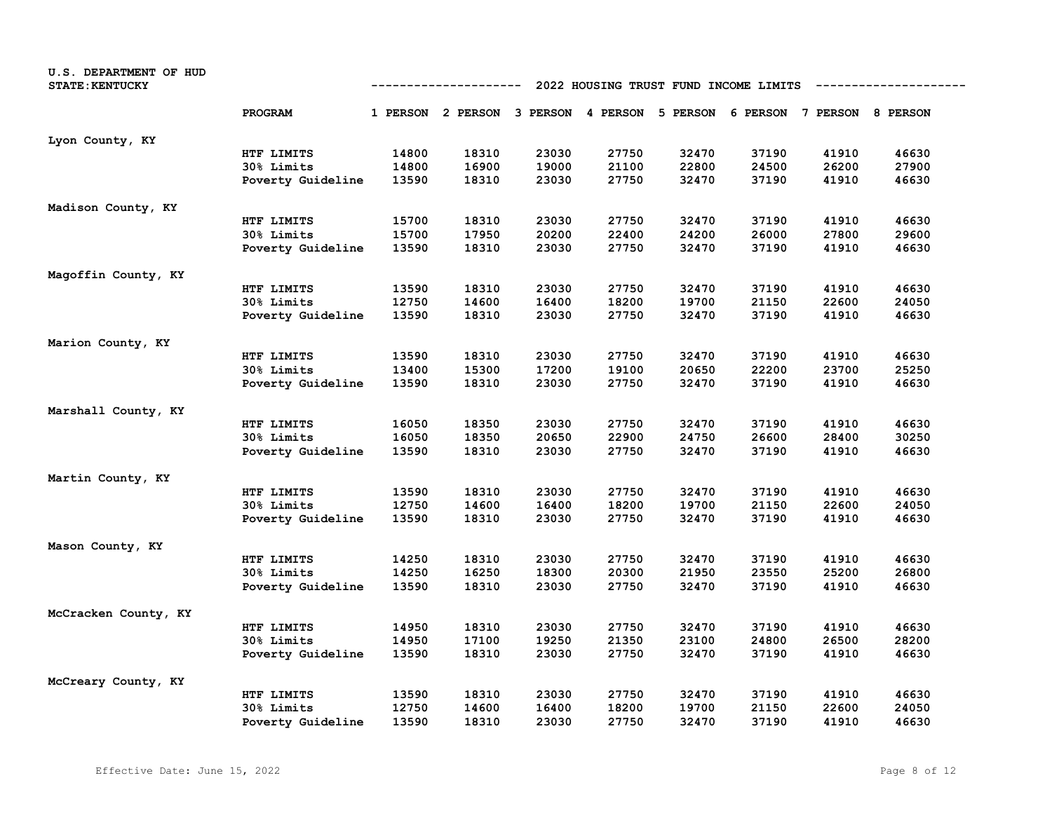| U.S. DEPARTMENT OF HUD<br><b>STATE: KENTUCKY</b> |                   |       | ----------                                                              |       |       | 2022 HOUSING TRUST FUND INCOME LIMITS |       |       |       |
|--------------------------------------------------|-------------------|-------|-------------------------------------------------------------------------|-------|-------|---------------------------------------|-------|-------|-------|
|                                                  | PROGRAM           |       | 1 PERSON 2 PERSON 3 PERSON 4 PERSON 5 PERSON 6 PERSON 7 PERSON 8 PERSON |       |       |                                       |       |       |       |
| Lyon County, KY                                  |                   |       |                                                                         |       |       |                                       |       |       |       |
|                                                  | HTF LIMITS        | 14800 | 18310                                                                   | 23030 | 27750 | 32470                                 | 37190 | 41910 | 46630 |
|                                                  | 30% Limits        | 14800 | 16900                                                                   | 19000 | 21100 | 22800                                 | 24500 | 26200 | 27900 |
|                                                  | Poverty Guideline | 13590 | 18310                                                                   | 23030 | 27750 | 32470                                 | 37190 | 41910 | 46630 |
| Madison County, KY                               |                   |       |                                                                         |       |       |                                       |       |       |       |
|                                                  | HTF LIMITS        | 15700 | 18310                                                                   | 23030 | 27750 | 32470                                 | 37190 | 41910 | 46630 |
|                                                  | 30% Limits        | 15700 | 17950                                                                   | 20200 | 22400 | 24200                                 | 26000 | 27800 | 29600 |
|                                                  | Poverty Guideline | 13590 | 18310                                                                   | 23030 | 27750 | 32470                                 | 37190 | 41910 | 46630 |
| Magoffin County, KY                              |                   |       |                                                                         |       |       |                                       |       |       |       |
|                                                  | HTF LIMITS        | 13590 | 18310                                                                   | 23030 | 27750 | 32470                                 | 37190 | 41910 | 46630 |
|                                                  | 30% Limits        | 12750 | 14600                                                                   | 16400 | 18200 | 19700                                 | 21150 | 22600 | 24050 |
|                                                  | Poverty Guideline | 13590 | 18310                                                                   | 23030 | 27750 | 32470                                 | 37190 | 41910 | 46630 |
| Marion County, KY                                |                   |       |                                                                         |       |       |                                       |       |       |       |
|                                                  | HTF LIMITS        | 13590 | 18310                                                                   | 23030 | 27750 | 32470                                 | 37190 | 41910 | 46630 |
|                                                  | 30% Limits        | 13400 | 15300                                                                   | 17200 | 19100 | 20650                                 | 22200 | 23700 | 25250 |
|                                                  | Poverty Guideline | 13590 | 18310                                                                   | 23030 | 27750 | 32470                                 | 37190 | 41910 | 46630 |
| Marshall County, KY                              |                   |       |                                                                         |       |       |                                       |       |       |       |
|                                                  | HTF LIMITS        | 16050 | 18350                                                                   | 23030 | 27750 | 32470                                 | 37190 | 41910 | 46630 |
|                                                  | 30% Limits        | 16050 | 18350                                                                   | 20650 | 22900 | 24750                                 | 26600 | 28400 | 30250 |
|                                                  | Poverty Guideline | 13590 | 18310                                                                   | 23030 | 27750 | 32470                                 | 37190 | 41910 | 46630 |
| Martin County, KY                                |                   |       |                                                                         |       |       |                                       |       |       |       |
|                                                  | HTF LIMITS        | 13590 | 18310                                                                   | 23030 | 27750 | 32470                                 | 37190 | 41910 | 46630 |
|                                                  | 30% Limits        | 12750 | 14600                                                                   | 16400 | 18200 | 19700                                 | 21150 | 22600 | 24050 |
|                                                  | Poverty Guideline | 13590 | 18310                                                                   | 23030 | 27750 | 32470                                 | 37190 | 41910 | 46630 |
| Mason County, KY                                 |                   |       |                                                                         |       |       |                                       |       |       |       |
|                                                  | HTF LIMITS        | 14250 | 18310                                                                   | 23030 | 27750 | 32470                                 | 37190 | 41910 | 46630 |
|                                                  | 30% Limits        | 14250 | 16250                                                                   | 18300 | 20300 | 21950                                 | 23550 | 25200 | 26800 |
|                                                  | Poverty Guideline | 13590 | 18310                                                                   | 23030 | 27750 | 32470                                 | 37190 | 41910 | 46630 |
| McCracken County, KY                             |                   |       |                                                                         |       |       |                                       |       |       |       |
|                                                  | HTF LIMITS        | 14950 | 18310                                                                   | 23030 | 27750 | 32470                                 | 37190 | 41910 | 46630 |
|                                                  | 30% Limits        | 14950 | 17100                                                                   | 19250 | 21350 | 23100                                 | 24800 | 26500 | 28200 |
|                                                  | Poverty Guideline | 13590 | 18310                                                                   | 23030 | 27750 | 32470                                 | 37190 | 41910 | 46630 |
| McCreary County, KY                              |                   |       |                                                                         |       |       |                                       |       |       |       |
|                                                  | HTF LIMITS        | 13590 | 18310                                                                   | 23030 | 27750 | 32470                                 | 37190 | 41910 | 46630 |
|                                                  | 30% Limits        | 12750 | 14600                                                                   | 16400 | 18200 | 19700                                 | 21150 | 22600 | 24050 |
|                                                  | Poverty Guideline | 13590 | 18310                                                                   | 23030 | 27750 | 32470                                 | 37190 | 41910 | 46630 |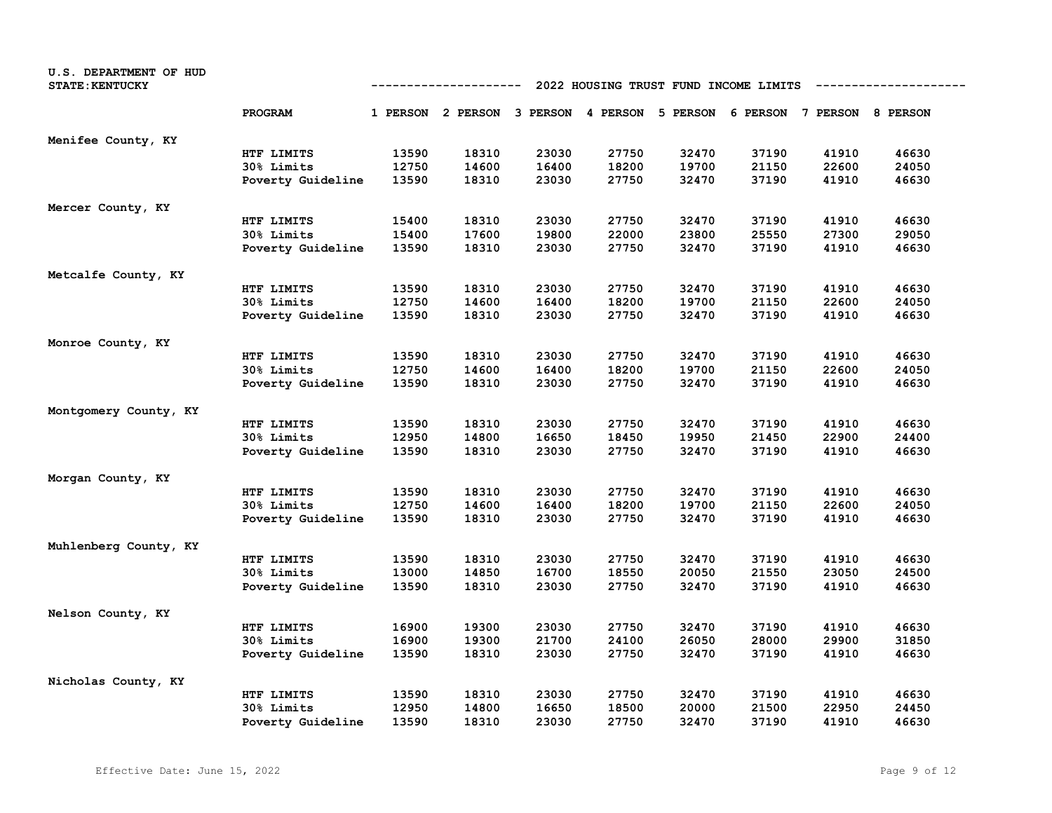| U.S. DEPARTMENT OF HUD<br><b>STATE: KENTUCKY</b> | 2022 HOUSING TRUST FUND INCOME LIMITS<br>----------- |       |                                                                         |       |       |       |       |       |       |
|--------------------------------------------------|------------------------------------------------------|-------|-------------------------------------------------------------------------|-------|-------|-------|-------|-------|-------|
|                                                  | PROGRAM                                              |       | 1 PERSON 2 PERSON 3 PERSON 4 PERSON 5 PERSON 6 PERSON 7 PERSON 8 PERSON |       |       |       |       |       |       |
| Menifee County, KY                               |                                                      |       |                                                                         |       |       |       |       |       |       |
|                                                  | HTF LIMITS                                           | 13590 | 18310                                                                   | 23030 | 27750 | 32470 | 37190 | 41910 | 46630 |
|                                                  | 30% Limits                                           | 12750 | 14600                                                                   | 16400 | 18200 | 19700 | 21150 | 22600 | 24050 |
|                                                  | Poverty Guideline                                    | 13590 | 18310                                                                   | 23030 | 27750 | 32470 | 37190 | 41910 | 46630 |
| Mercer County, KY                                |                                                      |       |                                                                         |       |       |       |       |       |       |
|                                                  | HTF LIMITS                                           | 15400 | 18310                                                                   | 23030 | 27750 | 32470 | 37190 | 41910 | 46630 |
|                                                  | 30% Limits                                           | 15400 | 17600                                                                   | 19800 | 22000 | 23800 | 25550 | 27300 | 29050 |
|                                                  | Poverty Guideline                                    | 13590 | 18310                                                                   | 23030 | 27750 | 32470 | 37190 | 41910 | 46630 |
| Metcalfe County, KY                              |                                                      |       |                                                                         |       |       |       |       |       |       |
|                                                  | HTF LIMITS                                           | 13590 | 18310                                                                   | 23030 | 27750 | 32470 | 37190 | 41910 | 46630 |
|                                                  | 30% Limits                                           | 12750 | 14600                                                                   | 16400 | 18200 | 19700 | 21150 | 22600 | 24050 |
|                                                  | Poverty Guideline                                    | 13590 | 18310                                                                   | 23030 | 27750 | 32470 | 37190 | 41910 | 46630 |
| Monroe County, KY                                |                                                      |       |                                                                         |       |       |       |       |       |       |
|                                                  | HTF LIMITS                                           | 13590 | 18310                                                                   | 23030 | 27750 | 32470 | 37190 | 41910 | 46630 |
|                                                  | 30% Limits                                           | 12750 | 14600                                                                   | 16400 | 18200 | 19700 | 21150 | 22600 | 24050 |
|                                                  | Poverty Guideline                                    | 13590 | 18310                                                                   | 23030 | 27750 | 32470 | 37190 | 41910 | 46630 |
| Montgomery County, KY                            |                                                      |       |                                                                         |       |       |       |       |       |       |
|                                                  | HTF LIMITS                                           | 13590 | 18310                                                                   | 23030 | 27750 | 32470 | 37190 | 41910 | 46630 |
|                                                  | 30% Limits                                           | 12950 | 14800                                                                   | 16650 | 18450 | 19950 | 21450 | 22900 | 24400 |
|                                                  | Poverty Guideline                                    | 13590 | 18310                                                                   | 23030 | 27750 | 32470 | 37190 | 41910 | 46630 |
| Morgan County, KY                                |                                                      |       |                                                                         |       |       |       |       |       |       |
|                                                  | HTF LIMITS                                           | 13590 | 18310                                                                   | 23030 | 27750 | 32470 | 37190 | 41910 | 46630 |
|                                                  | 30% Limits                                           | 12750 | 14600                                                                   | 16400 | 18200 | 19700 | 21150 | 22600 | 24050 |
|                                                  | Poverty Guideline                                    | 13590 | 18310                                                                   | 23030 | 27750 | 32470 | 37190 | 41910 | 46630 |
| Muhlenberg County, KY                            |                                                      |       |                                                                         |       |       |       |       |       |       |
|                                                  | HTF LIMITS                                           | 13590 | 18310                                                                   | 23030 | 27750 | 32470 | 37190 | 41910 | 46630 |
|                                                  | 30% Limits                                           | 13000 | 14850                                                                   | 16700 | 18550 | 20050 | 21550 | 23050 | 24500 |
|                                                  | Poverty Guideline                                    | 13590 | 18310                                                                   | 23030 | 27750 | 32470 | 37190 | 41910 | 46630 |
| Nelson County, KY                                |                                                      |       |                                                                         |       |       |       |       |       |       |
|                                                  | HTF LIMITS                                           | 16900 | 19300                                                                   | 23030 | 27750 | 32470 | 37190 | 41910 | 46630 |
|                                                  | 30% Limits                                           | 16900 | 19300                                                                   | 21700 | 24100 | 26050 | 28000 | 29900 | 31850 |
|                                                  | Poverty Guideline                                    | 13590 | 18310                                                                   | 23030 | 27750 | 32470 | 37190 | 41910 | 46630 |
| Nicholas County, KY                              |                                                      |       |                                                                         |       |       |       |       |       |       |
|                                                  | HTF LIMITS                                           | 13590 | 18310                                                                   | 23030 | 27750 | 32470 | 37190 | 41910 | 46630 |
|                                                  | 30% Limits                                           | 12950 | 14800                                                                   | 16650 | 18500 | 20000 | 21500 | 22950 | 24450 |
|                                                  | Poverty Guideline                                    | 13590 | 18310                                                                   | 23030 | 27750 | 32470 | 37190 | 41910 | 46630 |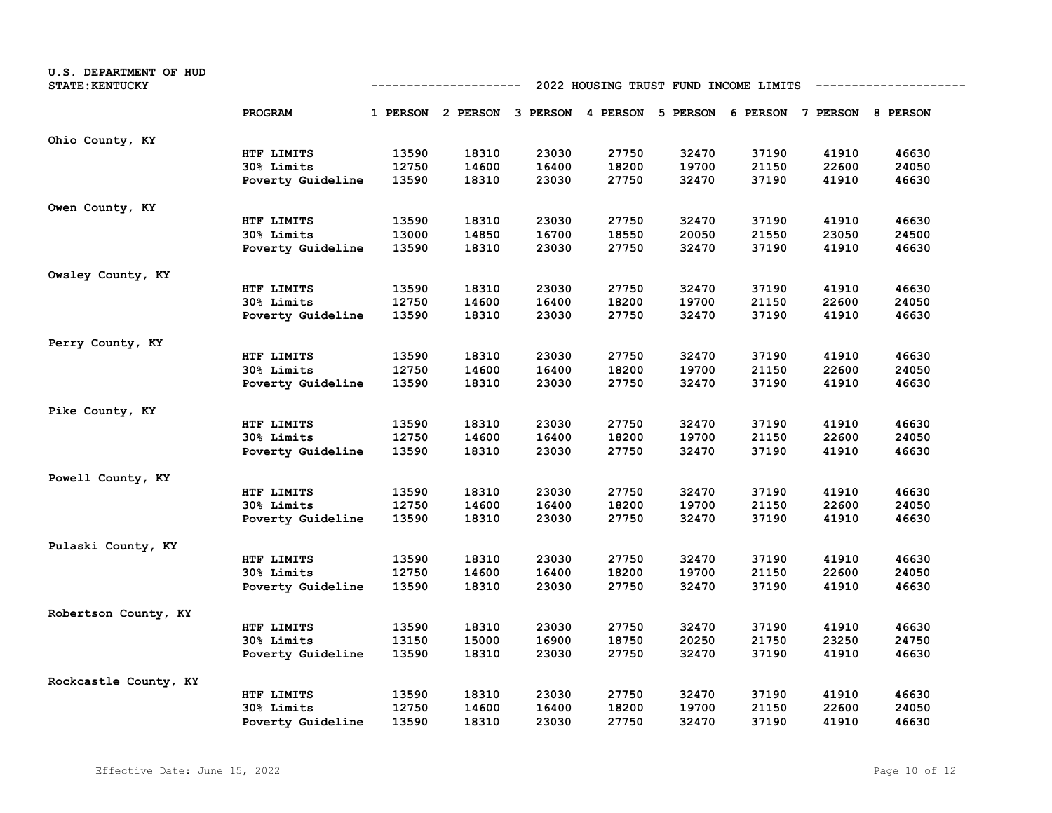| U.S. DEPARTMENT OF HUD<br><b>STATE: KENTUCKY</b> |                   |       | ----------                                                              |       |       |       | 2022 HOUSING TRUST FUND INCOME LIMITS |       |       |
|--------------------------------------------------|-------------------|-------|-------------------------------------------------------------------------|-------|-------|-------|---------------------------------------|-------|-------|
|                                                  | PROGRAM           |       | 1 PERSON 2 PERSON 3 PERSON 4 PERSON 5 PERSON 6 PERSON 7 PERSON 8 PERSON |       |       |       |                                       |       |       |
| Ohio County, KY                                  |                   |       |                                                                         |       |       |       |                                       |       |       |
|                                                  | HTF LIMITS        | 13590 | 18310                                                                   | 23030 | 27750 | 32470 | 37190                                 | 41910 | 46630 |
|                                                  | 30% Limits        | 12750 | 14600                                                                   | 16400 | 18200 | 19700 | 21150                                 | 22600 | 24050 |
|                                                  | Poverty Guideline | 13590 | 18310                                                                   | 23030 | 27750 | 32470 | 37190                                 | 41910 | 46630 |
| Owen County, KY                                  |                   |       |                                                                         |       |       |       |                                       |       |       |
|                                                  | HTF LIMITS        | 13590 | 18310                                                                   | 23030 | 27750 | 32470 | 37190                                 | 41910 | 46630 |
|                                                  | 30% Limits        | 13000 | 14850                                                                   | 16700 | 18550 | 20050 | 21550                                 | 23050 | 24500 |
|                                                  | Poverty Guideline | 13590 | 18310                                                                   | 23030 | 27750 | 32470 | 37190                                 | 41910 | 46630 |
| Owsley County, KY                                |                   |       |                                                                         |       |       |       |                                       |       |       |
|                                                  | HTF LIMITS        | 13590 | 18310                                                                   | 23030 | 27750 | 32470 | 37190                                 | 41910 | 46630 |
|                                                  | 30% Limits        | 12750 | 14600                                                                   | 16400 | 18200 | 19700 | 21150                                 | 22600 | 24050 |
|                                                  | Poverty Guideline | 13590 | 18310                                                                   | 23030 | 27750 | 32470 | 37190                                 | 41910 | 46630 |
| Perry County, KY                                 |                   |       |                                                                         |       |       |       |                                       |       |       |
|                                                  | HTF LIMITS        | 13590 | 18310                                                                   | 23030 | 27750 | 32470 | 37190                                 | 41910 | 46630 |
|                                                  | 30% Limits        | 12750 | 14600                                                                   | 16400 | 18200 | 19700 | 21150                                 | 22600 | 24050 |
|                                                  | Poverty Guideline | 13590 | 18310                                                                   | 23030 | 27750 | 32470 | 37190                                 | 41910 | 46630 |
| Pike County, KY                                  |                   |       |                                                                         |       |       |       |                                       |       |       |
|                                                  | HTF LIMITS        | 13590 | 18310                                                                   | 23030 | 27750 | 32470 | 37190                                 | 41910 | 46630 |
|                                                  | 30% Limits        | 12750 | 14600                                                                   | 16400 | 18200 | 19700 | 21150                                 | 22600 | 24050 |
|                                                  | Poverty Guideline | 13590 | 18310                                                                   | 23030 | 27750 | 32470 | 37190                                 | 41910 | 46630 |
| Powell County, KY                                |                   |       |                                                                         |       |       |       |                                       |       |       |
|                                                  | HTF LIMITS        | 13590 | 18310                                                                   | 23030 | 27750 | 32470 | 37190                                 | 41910 | 46630 |
|                                                  | <b>30% Limits</b> | 12750 | 14600                                                                   | 16400 | 18200 | 19700 | 21150                                 | 22600 | 24050 |
|                                                  | Poverty Guideline | 13590 | 18310                                                                   | 23030 | 27750 | 32470 | 37190                                 | 41910 | 46630 |
| Pulaski County, KY                               |                   |       |                                                                         |       |       |       |                                       |       |       |
|                                                  | HTF LIMITS        | 13590 | 18310                                                                   | 23030 | 27750 | 32470 | 37190                                 | 41910 | 46630 |
|                                                  | 30% Limits        | 12750 | 14600                                                                   | 16400 | 18200 | 19700 | 21150                                 | 22600 | 24050 |
|                                                  | Poverty Guideline | 13590 | 18310                                                                   | 23030 | 27750 | 32470 | 37190                                 | 41910 | 46630 |
| Robertson County, KY                             |                   |       |                                                                         |       |       |       |                                       |       |       |
|                                                  | HTF LIMITS        | 13590 | 18310                                                                   | 23030 | 27750 | 32470 | 37190                                 | 41910 | 46630 |
|                                                  | 30% Limits        | 13150 | 15000                                                                   | 16900 | 18750 | 20250 | 21750                                 | 23250 | 24750 |
|                                                  | Poverty Guideline | 13590 | 18310                                                                   | 23030 | 27750 | 32470 | 37190                                 | 41910 | 46630 |
| Rockcastle County, KY                            |                   |       |                                                                         |       |       |       |                                       |       |       |
|                                                  | HTF LIMITS        | 13590 | 18310                                                                   | 23030 | 27750 | 32470 | 37190                                 | 41910 | 46630 |
|                                                  | 30% Limits        | 12750 | 14600                                                                   | 16400 | 18200 | 19700 | 21150                                 | 22600 | 24050 |
|                                                  | Poverty Guideline | 13590 | 18310                                                                   | 23030 | 27750 | 32470 | 37190                                 | 41910 | 46630 |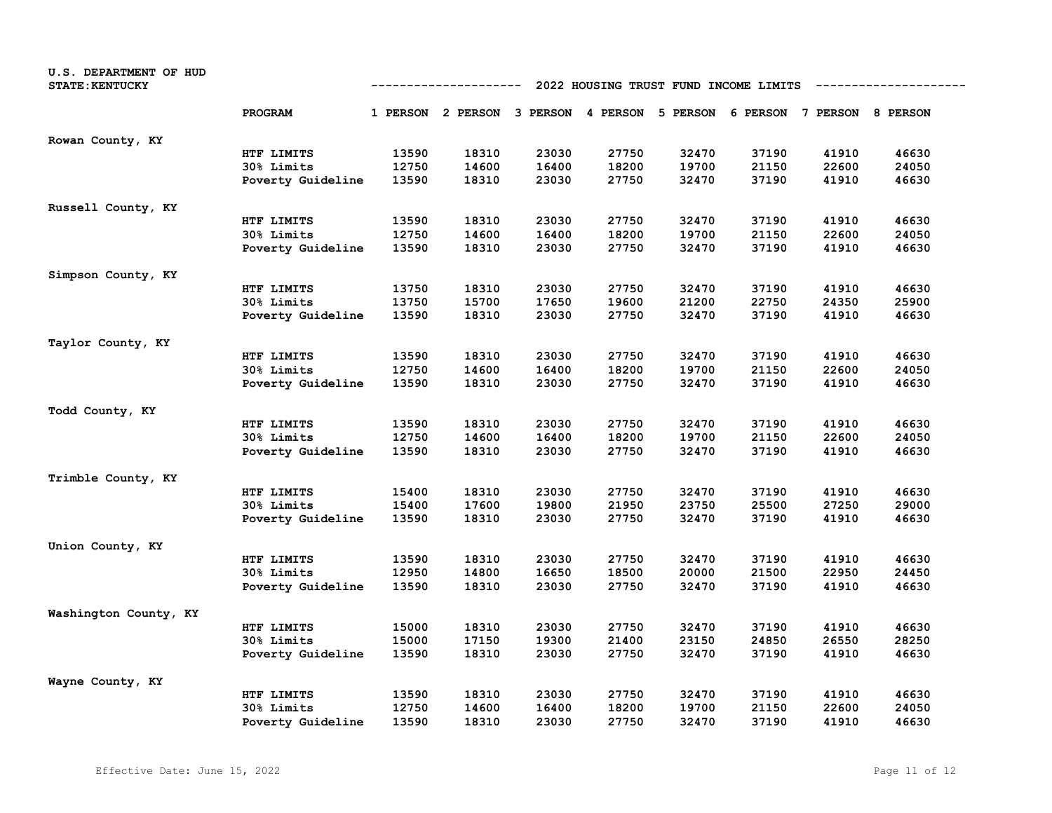| U.S. DEPARTMENT OF HUD<br><b>STATE: KENTUCKY</b> | 2022 HOUSING TRUST FUND INCOME LIMITS<br>----------- |       |                                                                         |       |       |       |       |       |       |
|--------------------------------------------------|------------------------------------------------------|-------|-------------------------------------------------------------------------|-------|-------|-------|-------|-------|-------|
|                                                  | PROGRAM                                              |       | 1 PERSON 2 PERSON 3 PERSON 4 PERSON 5 PERSON 6 PERSON 7 PERSON 8 PERSON |       |       |       |       |       |       |
| Rowan County, KY                                 |                                                      |       |                                                                         |       |       |       |       |       |       |
|                                                  | HTF LIMITS                                           | 13590 | 18310                                                                   | 23030 | 27750 | 32470 | 37190 | 41910 | 46630 |
|                                                  | 30% Limits                                           | 12750 | 14600                                                                   | 16400 | 18200 | 19700 | 21150 | 22600 | 24050 |
|                                                  | Poverty Guideline                                    | 13590 | 18310                                                                   | 23030 | 27750 | 32470 | 37190 | 41910 | 46630 |
| Russell County, KY                               |                                                      |       |                                                                         |       |       |       |       |       |       |
|                                                  | HTF LIMITS                                           | 13590 | 18310                                                                   | 23030 | 27750 | 32470 | 37190 | 41910 | 46630 |
|                                                  | 30% Limits                                           | 12750 | 14600                                                                   | 16400 | 18200 | 19700 | 21150 | 22600 | 24050 |
|                                                  | Poverty Guideline                                    | 13590 | 18310                                                                   | 23030 | 27750 | 32470 | 37190 | 41910 | 46630 |
| Simpson County, KY                               |                                                      |       |                                                                         |       |       |       |       |       |       |
|                                                  | HTF LIMITS                                           | 13750 | 18310                                                                   | 23030 | 27750 | 32470 | 37190 | 41910 | 46630 |
|                                                  | 30% Limits                                           | 13750 | 15700                                                                   | 17650 | 19600 | 21200 | 22750 | 24350 | 25900 |
|                                                  | Poverty Guideline                                    | 13590 | 18310                                                                   | 23030 | 27750 | 32470 | 37190 | 41910 | 46630 |
| Taylor County, KY                                |                                                      |       |                                                                         |       |       |       |       |       |       |
|                                                  | HTF LIMITS                                           | 13590 | 18310                                                                   | 23030 | 27750 | 32470 | 37190 | 41910 | 46630 |
|                                                  | 30% Limits                                           | 12750 | 14600                                                                   | 16400 | 18200 | 19700 | 21150 | 22600 | 24050 |
|                                                  | Poverty Guideline                                    | 13590 | 18310                                                                   | 23030 | 27750 | 32470 | 37190 | 41910 | 46630 |
| Todd County, KY                                  |                                                      |       |                                                                         |       |       |       |       |       |       |
|                                                  | HTF LIMITS                                           | 13590 | 18310                                                                   | 23030 | 27750 | 32470 | 37190 | 41910 | 46630 |
|                                                  | 30% Limits                                           | 12750 | 14600                                                                   | 16400 | 18200 | 19700 | 21150 | 22600 | 24050 |
|                                                  | Poverty Guideline                                    | 13590 | 18310                                                                   | 23030 | 27750 | 32470 | 37190 | 41910 | 46630 |
| Trimble County, KY                               |                                                      |       |                                                                         |       |       |       |       |       |       |
|                                                  | HTF LIMITS                                           | 15400 | 18310                                                                   | 23030 | 27750 | 32470 | 37190 | 41910 | 46630 |
|                                                  | <b>30% Limits</b>                                    | 15400 | 17600                                                                   | 19800 | 21950 | 23750 | 25500 | 27250 | 29000 |
|                                                  | Poverty Guideline                                    | 13590 | 18310                                                                   | 23030 | 27750 | 32470 | 37190 | 41910 | 46630 |
| Union County, KY                                 |                                                      |       |                                                                         |       |       |       |       |       |       |
|                                                  | HTF LIMITS                                           | 13590 | 18310                                                                   | 23030 | 27750 | 32470 | 37190 | 41910 | 46630 |
|                                                  | 30% Limits                                           | 12950 | 14800                                                                   | 16650 | 18500 | 20000 | 21500 | 22950 | 24450 |
|                                                  | Poverty Guideline                                    | 13590 | 18310                                                                   | 23030 | 27750 | 32470 | 37190 | 41910 | 46630 |
| Washington County, KY                            |                                                      |       |                                                                         |       |       |       |       |       |       |
|                                                  | HTF LIMITS                                           | 15000 | 18310                                                                   | 23030 | 27750 | 32470 | 37190 | 41910 | 46630 |
|                                                  | 30% Limits                                           | 15000 | 17150                                                                   | 19300 | 21400 | 23150 | 24850 | 26550 | 28250 |
|                                                  | Poverty Guideline                                    | 13590 | 18310                                                                   | 23030 | 27750 | 32470 | 37190 | 41910 | 46630 |
| Wayne County, KY                                 |                                                      |       |                                                                         |       |       |       |       |       |       |
|                                                  | HTF LIMITS                                           | 13590 | 18310                                                                   | 23030 | 27750 | 32470 | 37190 | 41910 | 46630 |
|                                                  | 30% Limits                                           | 12750 | 14600                                                                   | 16400 | 18200 | 19700 | 21150 | 22600 | 24050 |
|                                                  | Poverty Guideline                                    | 13590 | 18310                                                                   | 23030 | 27750 | 32470 | 37190 | 41910 | 46630 |